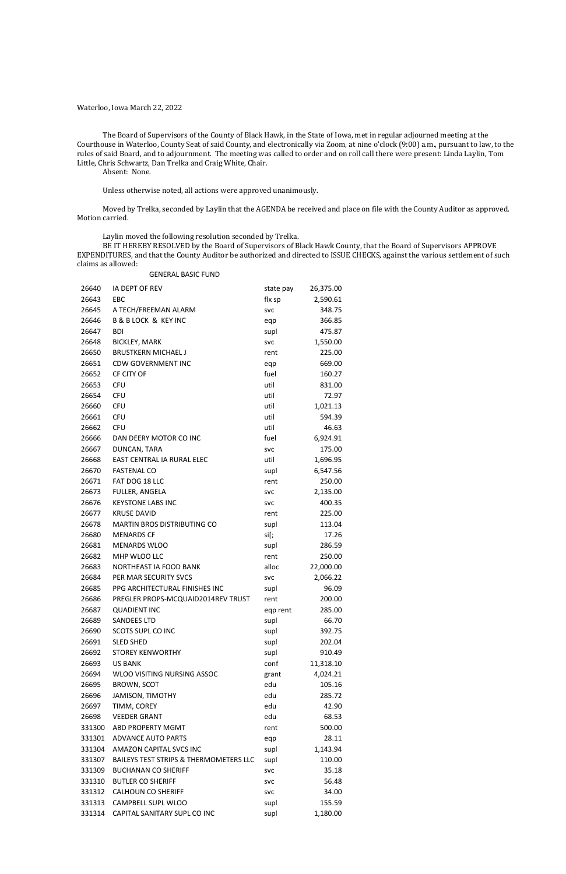Waterloo, Iowa March 22, 2022

The Board of Supervisors of the County of Black Hawk, in the State of Iowa, met in regular adjourned meeting at the Courthouse in Waterloo, County Seat of said County, and electronically via Zoom, at nine o'clock (9:00) a.m., pursuant to law, to the rules of said Board, and to adjournment. The meeting was called to order and on roll call there were present: Linda Laylin, Tom Little, Chris Schwartz, Dan Trelka and Craig White, Chair.

Absent: None.

Unless otherwise noted, all actions were approved unanimously.

Moved by Trelka, seconded by Laylin that the AGENDA be received and place on file with the County Auditor as approved. Motion carried.

Laylin moved the following resolution seconded by Trelka.

BE IT HEREBY RESOLVED by the Board of Supervisors of Black Hawk County, that the Board of Supervisors APPROVE EXPENDITURES, and that the County Auditor be authorized and directed to ISSUE CHECKS, against the various settlement of such claims as allowed:

#### GENERAL BASIC FUND

| 26640  | IA DEPT OF REV                                    | state pay  | 26,375.00 |
|--------|---------------------------------------------------|------------|-----------|
| 26643  | EBC                                               | flx sp     | 2,590.61  |
| 26645  | A TECH/FREEMAN ALARM                              | <b>SVC</b> | 348.75    |
| 26646  | <b>B &amp; B LOCK &amp; KEY INC</b>               | eqp        | 366.85    |
| 26647  | <b>BDI</b>                                        | supl       | 475.87    |
| 26648  | <b>BICKLEY, MARK</b>                              | <b>SVC</b> | 1,550.00  |
| 26650  | <b>BRUSTKERN MICHAEL J</b>                        | rent       | 225.00    |
| 26651  | <b>CDW GOVERNMENT INC</b>                         | eqp        | 669.00    |
| 26652  | CF CITY OF                                        | fuel       | 160.27    |
| 26653  | <b>CFU</b>                                        | util       | 831.00    |
| 26654  | <b>CFU</b>                                        | util       | 72.97     |
| 26660  | <b>CFU</b>                                        | util       | 1,021.13  |
| 26661  | <b>CFU</b>                                        | util       | 594.39    |
| 26662  | <b>CFU</b>                                        | util       | 46.63     |
| 26666  | DAN DEERY MOTOR CO INC                            | fuel       | 6,924.91  |
| 26667  | DUNCAN, TARA                                      | <b>SVC</b> | 175.00    |
| 26668  | EAST CENTRAL IA RURAL ELEC                        | util       | 1,696.95  |
| 26670  | <b>FASTENAL CO</b>                                | supl       | 6,547.56  |
| 26671  | FAT DOG 18 LLC                                    | rent       | 250.00    |
| 26673  | FULLER, ANGELA                                    | <b>SVC</b> | 2,135.00  |
| 26676  | <b>KEYSTONE LABS INC</b>                          | <b>SVC</b> | 400.35    |
| 26677  | <b>KRUSE DAVID</b>                                | rent       | 225.00    |
| 26678  | MARTIN BROS DISTRIBUTING CO                       | supl       | 113.04    |
| 26680  | <b>MENARDS CF</b>                                 | si[;       | 17.26     |
| 26681  | <b>MENARDS WLOO</b>                               | supl       | 286.59    |
| 26682  | MHP WLOO LLC                                      | rent       | 250.00    |
| 26683  | NORTHEAST IA FOOD BANK                            | alloc      | 22,000.00 |
| 26684  | PER MAR SECURITY SVCS                             | <b>SVC</b> | 2,066.22  |
| 26685  | PPG ARCHITECTURAL FINISHES INC                    | supl       | 96.09     |
| 26686  | PREGLER PROPS-MCQUAID2014REV TRUST                | rent       | 200.00    |
| 26687  | <b>QUADIENT INC</b>                               | eqp rent   | 285.00    |
| 26689  | <b>SANDEES LTD</b>                                | supl       | 66.70     |
| 26690  | <b>SCOTS SUPL CO INC</b>                          | supl       | 392.75    |
| 26691  | <b>SLED SHED</b>                                  | supl       | 202.04    |
| 26692  | <b>STOREY KENWORTHY</b>                           | supl       | 910.49    |
| 26693  | <b>US BANK</b>                                    | conf       | 11,318.10 |
| 26694  | WLOO VISITING NURSING ASSOC                       | grant      | 4,024.21  |
| 26695  | <b>BROWN, SCOT</b>                                | edu        | 105.16    |
| 26696  | <b>JAMISON, TIMOTHY</b>                           | edu        | 285.72    |
| 26697  | TIMM, COREY                                       | edu        | 42.90     |
| 26698  | <b>VEEDER GRANT</b>                               | edu        | 68.53     |
| 331300 | ABD PROPERTY MGMT                                 | rent       | 500.00    |
| 331301 | <b>ADVANCE AUTO PARTS</b>                         | eqp        | 28.11     |
| 331304 | AMAZON CAPITAL SVCS INC                           | supl       | 1,143.94  |
| 331307 | <b>BAILEYS TEST STRIPS &amp; THERMOMETERS LLC</b> | supl       | 110.00    |
| 331309 | <b>BUCHANAN CO SHERIFF</b>                        | <b>SVC</b> | 35.18     |
| 331310 | <b>BUTLER CO SHERIFF</b>                          | <b>SVC</b> | 56.48     |
| 331312 | <b>CALHOUN CO SHERIFF</b>                         | <b>SVC</b> | 34.00     |
| 331313 | CAMPBELL SUPL WLOO                                | supl       | 155.59    |
| 331314 | CAPITAL SANITARY SUPL CO INC                      | supl       | 1,180.00  |
|        |                                                   |            |           |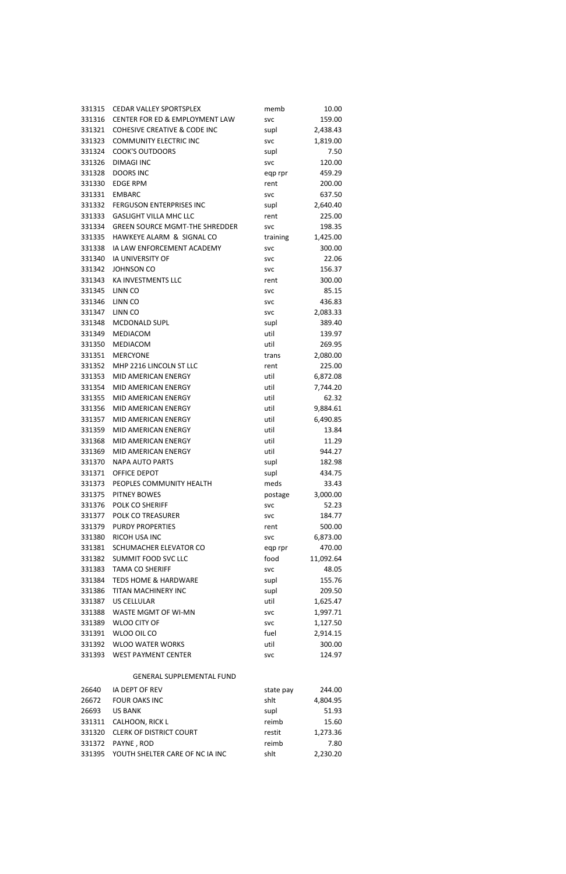| 331315 | <b>CEDAR VALLEY SPORTSPLEX</b>          | memb       | 10.00     |
|--------|-----------------------------------------|------------|-----------|
| 331316 | CENTER FOR ED & EMPLOYMENT LAW          | <b>SVC</b> | 159.00    |
| 331321 | <b>COHESIVE CREATIVE &amp; CODE INC</b> | supl       | 2,438.43  |
| 331323 | <b>COMMUNITY ELECTRIC INC</b>           | <b>SVC</b> | 1,819.00  |
| 331324 | COOK'S OUTDOORS                         | supl       | 7.50      |
| 331326 | <b>DIMAGI INC</b>                       | <b>SVC</b> | 120.00    |
| 331328 | <b>DOORS INC</b>                        | eqp rpr    | 459.29    |
| 331330 | <b>EDGE RPM</b>                         | rent       | 200.00    |
| 331331 | <b>EMBARC</b>                           | <b>SVC</b> | 637.50    |
| 331332 | <b>FERGUSON ENTERPRISES INC</b>         | supl       | 2,640.40  |
| 331333 | <b>GASLIGHT VILLA MHC LLC</b>           | rent       | 225.00    |
| 331334 | <b>GREEN SOURCE MGMT-THE SHREDDER</b>   | <b>SVC</b> | 198.35    |
| 331335 | HAWKEYE ALARM & SIGNAL CO               | training   | 1,425.00  |
| 331338 | IA LAW ENFORCEMENT ACADEMY              | <b>SVC</b> | 300.00    |
| 331340 | <b>IA UNIVERSITY OF</b>                 | <b>SVC</b> | 22.06     |
| 331342 | <b>JOHNSON CO</b>                       | <b>SVC</b> | 156.37    |
| 331343 | KA INVESTMENTS LLC                      | rent       | 300.00    |
| 331345 | LINN CO                                 | <b>SVC</b> | 85.15     |
| 331346 | LINN CO                                 | <b>SVC</b> | 436.83    |
| 331347 | LINN CO                                 | <b>SVC</b> | 2,083.33  |
| 331348 | <b>MCDONALD SUPL</b>                    | supl       | 389.40    |
| 331349 | MEDIACOM                                | util       | 139.97    |
| 331350 | MEDIACOM                                | util       | 269.95    |
| 331351 | <b>MERCYONE</b>                         | trans      | 2,080.00  |
| 331352 | MHP 2216 LINCOLN ST LLC                 | rent       | 225.00    |
| 331353 | MID AMERICAN ENERGY                     | util       | 6,872.08  |
| 331354 | <b>MID AMERICAN ENERGY</b>              | util       | 7,744.20  |
| 331355 | MID AMERICAN ENERGY                     | util       | 62.32     |
| 331356 | <b>MID AMERICAN ENERGY</b>              | util       | 9,884.61  |
| 331357 | MID AMERICAN ENERGY                     | util       | 6,490.85  |
| 331359 | MID AMERICAN ENERGY                     | util       | 13.84     |
| 331368 | MID AMERICAN ENERGY                     | util       | 11.29     |
| 331369 | MID AMERICAN ENERGY                     | util       | 944.27    |
| 331370 | <b>NAPA AUTO PARTS</b>                  | supl       | 182.98    |
| 331371 | <b>OFFICE DEPOT</b>                     | supl       | 434.75    |
| 331373 | PEOPLES COMMUNITY HEALTH                | meds       | 33.43     |
| 331375 | <b>PITNEY BOWES</b>                     | postage    | 3,000.00  |
| 331376 | POLK CO SHERIFF                         | <b>SVC</b> | 52.23     |
| 331377 | <b>POLK CO TREASURER</b>                | <b>SVC</b> | 184.77    |
| 331379 | <b>PURDY PROPERTIES</b>                 | rent       | 500.00    |
| 331380 | RICOH USA INC                           | <b>SVC</b> | 6,873.00  |
| 331381 | SCHUMACHER ELEVATOR CO                  | eqp rpr    | 470.00    |
| 331382 | SUMMIT FOOD SVC LLC                     | food       | 11,092.64 |
|        | 331383 TAMA CO SHERIFF                  | <b>SVC</b> | 48.05     |
| 331384 | <b>TEDS HOME &amp; HARDWARE</b>         | supl       | 155.76    |
| 331386 | TITAN MACHINERY INC                     | supl       | 209.50    |
| 331387 | US CELLULAR                             | util       | 1,625.47  |
| 331388 | WASTE MGMT OF WI-MN                     | <b>SVC</b> | 1,997.71  |
| 331389 | <b>WLOO CITY OF</b>                     | <b>SVC</b> | 1,127.50  |
| 331391 | WLOO OIL CO                             | fuel       | 2,914.15  |
| 331392 | <b>WLOO WATER WORKS</b>                 | util       | 300.00    |
| 331393 | <b>WEST PAYMENT CENTER</b>              | <b>SVC</b> | 124.97    |
|        |                                         |            |           |

## GENERAL SUPPLEMENTAL FUND

| 26640  | IA DEPT OF REV                  | state pay | 244.00   |
|--------|---------------------------------|-----------|----------|
| 26672  | <b>FOUR OAKS INC</b>            | shlt      | 4,804.95 |
| 26693  | <b>US BANK</b>                  | supl      | 51.93    |
|        | 331311 CALHOON, RICK L          | reimb     | 15.60    |
|        | 331320 CLERK OF DISTRICT COURT  | restit    | 1,273.36 |
|        | 331372 PAYNE, ROD               | reimb     | 7.80     |
| 331395 | YOUTH SHELTER CARE OF NC IA INC | shit      | 2,230.20 |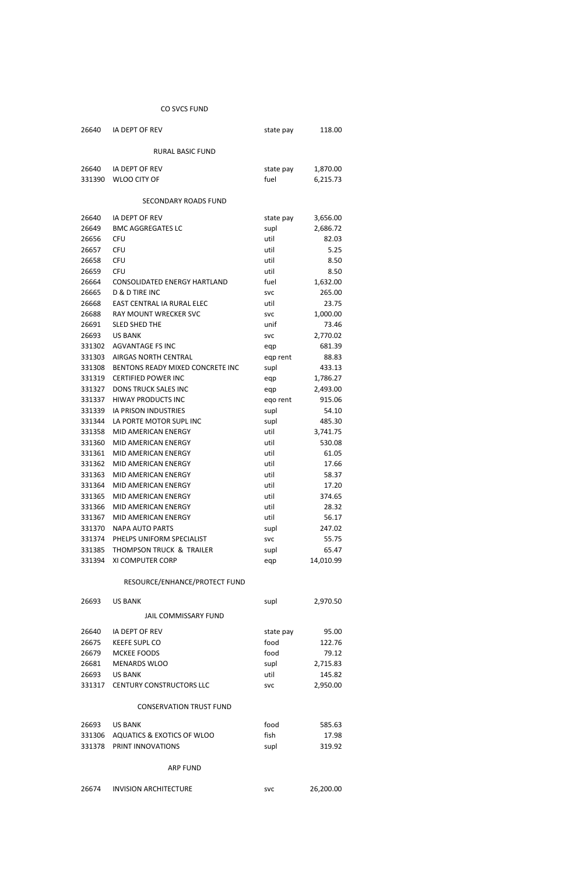# CO SVCS FUND

| 26640  | IA DEPT OF REV                      | state pay  | 118.00    |
|--------|-------------------------------------|------------|-----------|
|        | <b>RURAL BASIC FUND</b>             |            |           |
| 26640  | IA DEPT OF REV                      | state pay  | 1,870.00  |
| 331390 | <b>WLOO CITY OF</b>                 | fuel       | 6,215.73  |
|        |                                     |            |           |
|        | SECONDARY ROADS FUND                |            |           |
| 26640  | IA DEPT OF REV                      | state pay  | 3,656.00  |
| 26649  | <b>BMC AGGREGATES LC</b>            | supl       | 2,686.72  |
| 26656  | <b>CFU</b>                          | util       | 82.03     |
| 26657  | <b>CFU</b>                          | util       | 5.25      |
| 26658  | <b>CFU</b>                          | util       | 8.50      |
| 26659  | <b>CFU</b>                          | util       | 8.50      |
| 26664  | <b>CONSOLIDATED ENERGY HARTLAND</b> | fuel       | 1,632.00  |
| 26665  | <b>D &amp; D TIRE INC</b>           | <b>SVC</b> | 265.00    |
| 26668  | EAST CENTRAL IA RURAL ELEC          | util       | 23.75     |
| 26688  | RAY MOUNT WRECKER SVC               | <b>SVC</b> | 1,000.00  |
| 26691  | <b>SLED SHED THE</b>                | unif       | 73.46     |
| 26693  | <b>US BANK</b>                      | <b>SVC</b> | 2,770.02  |
| 331302 | <b>AGVANTAGE FS INC</b>             | eqp        | 681.39    |
| 331303 | <b>AIRGAS NORTH CENTRAL</b>         | eqp rent   | 88.83     |
| 331308 | BENTONS READY MIXED CONCRETE INC    | supl       | 433.13    |
| 331319 | <b>CERTIFIED POWER INC</b>          | eqp        | 1,786.27  |
| 331327 | <b>DONS TRUCK SALES INC</b>         | eqp        | 2,493.00  |
| 331337 | <b>HIWAY PRODUCTS INC</b>           | eqo rent   | 915.06    |
| 331339 | <b>IA PRISON INDUSTRIES</b>         | supl       | 54.10     |
| 331344 | LA PORTE MOTOR SUPL INC             | supl       | 485.30    |
| 331358 | MID AMERICAN ENERGY                 | util       | 3,741.75  |
| 331360 | MID AMERICAN ENERGY                 | util       | 530.08    |
| 331361 | <b>MID AMERICAN ENERGY</b>          | util       | 61.05     |
| 331362 | MID AMERICAN ENERGY                 | util       | 17.66     |
| 331363 | MID AMERICAN ENERGY                 | util       | 58.37     |
| 331364 | MID AMERICAN ENERGY                 | util       | 17.20     |
| 331365 | MID AMERICAN ENERGY                 | util       | 374.65    |
| 331366 | MID AMERICAN ENERGY                 | util       | 28.32     |
| 331367 | <b>MID AMERICAN ENERGY</b>          | util       | 56.17     |
| 331370 | <b>NAPA AUTO PARTS</b>              | supl       | 247.02    |
| 331374 | PHELPS UNIFORM SPECIALIST           | <b>SVC</b> | 55.75     |
| 331385 | THOMPSON TRUCK & TRAILER            | supl       | 65.47     |
| 331394 | XI COMPUTER CORP                    | eqp        | 14,010.99 |
|        | RESOURCE/ENHANCE/PROTECT FUND       |            |           |

| 26693        | US BANK               | supl          | 2,970.50       |
|--------------|-----------------------|---------------|----------------|
|              | JAIL COMMISSARY FUND  |               |                |
| 26640        | IA DEPT OF REV        | state pay     | 95.00          |
| <b>DECTE</b> | <b>VEEEE CLIDI CO</b> | $f \sim \sim$ | 1 2 2 $\sigma$ |

| 2007.D | - NEEFE SUPL CU                 | 1000       | 122.70   |
|--------|---------------------------------|------------|----------|
| 26679  | MCKEE FOODS                     | food       | 79.12    |
| 26681  | MENARDS WLOO                    | supl       | 2.715.83 |
| 26693  | US BANK                         | util       | 145.82   |
|        | 331317 CENTURY CONSTRUCTORS LLC | <b>SVC</b> | 2.950.00 |

#### CONSERVATION TRUST FUND

| 26693 | US BANK                           | food | 585.63 |
|-------|-----------------------------------|------|--------|
|       | 331306 AQUATICS & EXOTICS OF WLOO | fish | 17.98  |
|       | 331378 PRINT INNOVATIONS          | supl | 319.92 |

## ARP FUND

| svc | 26,200.00 |
|-----|-----------|
|     |           |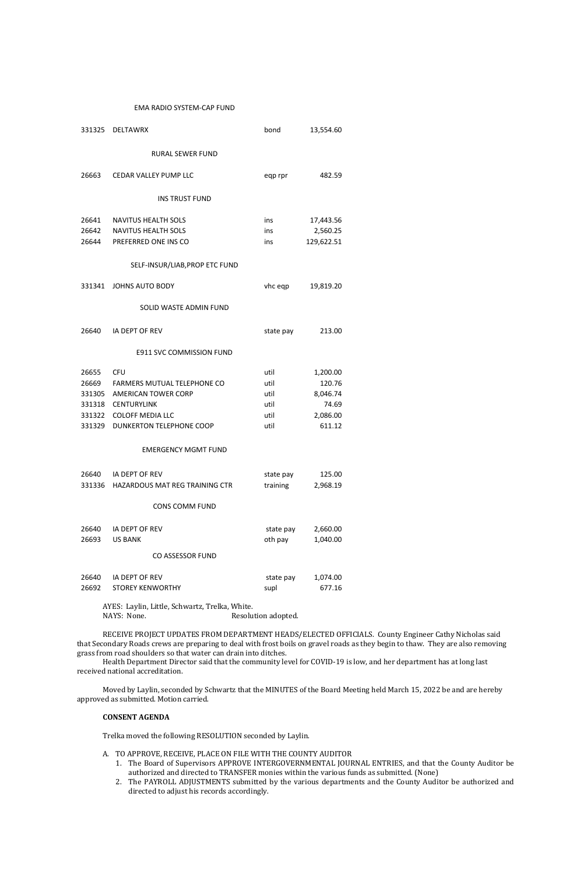#### EMA RADIO SYSTEM-CAP FUND

AYES: Laylin, Little, Schwartz, Trelka, White. NAYS: None. Resolution adopted.

| 331325 | <b>DELTAWRX</b>                       | bond      | 13,554.60  |
|--------|---------------------------------------|-----------|------------|
|        | <b>RURAL SEWER FUND</b>               |           |            |
| 26663  | <b>CEDAR VALLEY PUMP LLC</b>          | eqp rpr   | 482.59     |
|        | <b>INS TRUST FUND</b>                 |           |            |
| 26641  | <b>NAVITUS HEALTH SOLS</b>            | ins       | 17,443.56  |
| 26642  | NAVITUS HEALTH SOLS                   | ins       | 2,560.25   |
|        | 26644 PREFERRED ONE INS CO            | ins       | 129,622.51 |
|        | SELF-INSUR/LIAB, PROP ETC FUND        |           |            |
| 331341 | <b>JOHNS AUTO BODY</b>                | vhc eqp   | 19,819.20  |
|        | SOLID WASTE ADMIN FUND                |           |            |
| 26640  | IA DEPT OF REV                        | state pay | 213.00     |
|        | <b>E911 SVC COMMISSION FUND</b>       |           |            |
| 26655  | <b>CFU</b>                            | util      | 1,200.00   |
| 26669  | FARMERS MUTUAL TELEPHONE CO           | util      | 120.76     |
| 331305 | <b>AMERICAN TOWER CORP</b>            | util      | 8,046.74   |
| 331318 | <b>CENTURYLINK</b>                    | util      | 74.69      |
| 331322 | <b>COLOFF MEDIA LLC</b>               | util      | 2,086.00   |
| 331329 | DUNKERTON TELEPHONE COOP              | util      | 611.12     |
|        | <b>EMERGENCY MGMT FUND</b>            |           |            |
|        | 26640 IA DEPT OF REV                  | state pay | 125.00     |
|        | 331336 HAZARDOUS MAT REG TRAINING CTR | training  | 2,968.19   |
|        | <b>CONS COMM FUND</b>                 |           |            |
| 26640  | IA DEPT OF REV                        | state pay | 2,660.00   |
| 26693  | <b>US BANK</b>                        | oth pay   | 1,040.00   |
|        | <b>CO ASSESSOR FUND</b>               |           |            |
| 26640  | IA DEPT OF REV                        | state pay | 1,074.00   |
| 26692  | <b>STOREY KENWORTHY</b>               | supl      | 677.16     |
|        | $\frac{1}{2}$                         |           |            |

RECEIVE PROJECT UPDATES FROM DEPARTMENT HEADS/ELECTED OFFICIALS. County Engineer Cathy Nicholas said that Secondary Roads crews are preparing to deal with frost boils on gravel roads as they begin to thaw. They are also removing grass from road shoulders so that water can drain into ditches.

Health Department Director said that the community level for COVID-19 is low, and her department has at long last received national accreditation.

Moved by Laylin, seconded by Schwartz that the MINUTES of the Board Meeting held March 15, 2022 be and are hereby approved as submitted. Motion carried.

## **CONSENT AGENDA**

Trelka moved the following RESOLUTION seconded by Laylin.

- A. TO APPROVE, RECEIVE, PLACE ON FILE WITH THE COUNTY AUDITOR
	- 1. The Board of Supervisors APPROVE INTERGOVERNMENTAL JOURNAL ENTRIES, and that the County Auditor be authorized and directed to TRANSFER monies within the various funds as submitted. (None)
	- 2. The PAYROLL ADJUSTMENTS submitted by the various departments and the County Auditor be authorized and directed to adjust his records accordingly.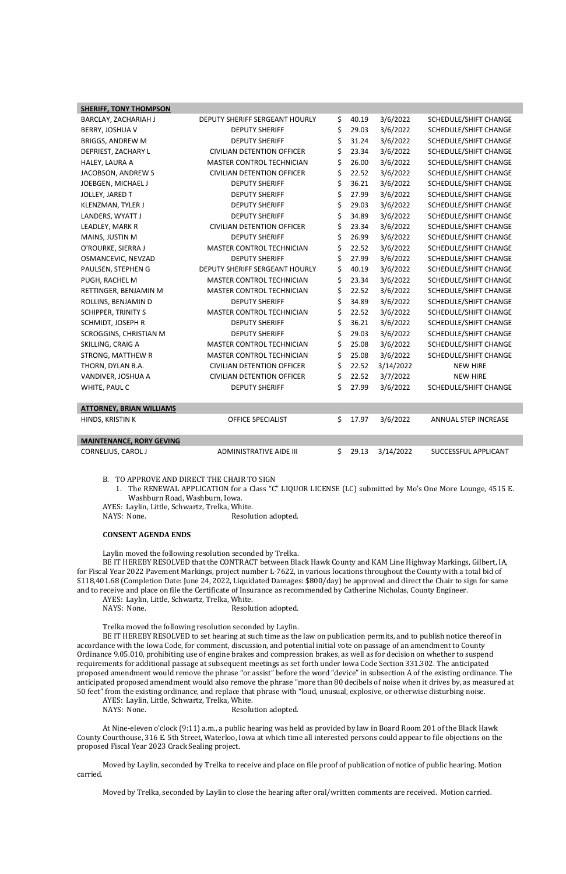| <b>SHERIFF, TONY THOMPSON</b>   |                                   |             |           |                              |
|---------------------------------|-----------------------------------|-------------|-----------|------------------------------|
| BARCLAY, ZACHARIAH J            | DEPUTY SHERIFF SERGEANT HOURLY    | \$<br>40.19 | 3/6/2022  | SCHEDULE/SHIFT CHANGE        |
| BERRY, JOSHUA V                 | <b>DEPUTY SHERIFF</b>             | \$<br>29.03 | 3/6/2022  | SCHEDULE/SHIFT CHANGE        |
| <b>BRIGGS, ANDREW M</b>         | <b>DEPUTY SHERIFF</b>             | \$<br>31.24 | 3/6/2022  | SCHEDULE/SHIFT CHANGE        |
| DEPRIEST, ZACHARY L             | <b>CIVILIAN DETENTION OFFICER</b> | \$<br>23.34 | 3/6/2022  | SCHEDULE/SHIFT CHANGE        |
| HALEY, LAURA A                  | MASTER CONTROL TECHNICIAN         | \$<br>26.00 | 3/6/2022  | SCHEDULE/SHIFT CHANGE        |
| JACOBSON, ANDREW S              | <b>CIVILIAN DETENTION OFFICER</b> | \$<br>22.52 | 3/6/2022  | SCHEDULE/SHIFT CHANGE        |
| JOEBGEN, MICHAEL J              | <b>DEPUTY SHERIFF</b>             | \$<br>36.21 | 3/6/2022  | <b>SCHEDULE/SHIFT CHANGE</b> |
| JOLLEY, JARED T                 | <b>DEPUTY SHERIFF</b>             | \$<br>27.99 | 3/6/2022  | SCHEDULE/SHIFT CHANGE        |
| KLENZMAN, TYLER J               | <b>DEPUTY SHERIFF</b>             | \$<br>29.03 | 3/6/2022  | SCHEDULE/SHIFT CHANGE        |
| LANDERS, WYATT J                | <b>DEPUTY SHERIFF</b>             | \$<br>34.89 | 3/6/2022  | SCHEDULE/SHIFT CHANGE        |
| LEADLEY, MARK R                 | <b>CIVILIAN DETENTION OFFICER</b> | \$<br>23.34 | 3/6/2022  | SCHEDULE/SHIFT CHANGE        |
| MAINS, JUSTIN M                 | <b>DEPUTY SHERIFF</b>             | \$<br>26.99 | 3/6/2022  | SCHEDULE/SHIFT CHANGE        |
| O'ROURKE, SIERRA J              | MASTER CONTROL TECHNICIAN         | \$<br>22.52 | 3/6/2022  | SCHEDULE/SHIFT CHANGE        |
| OSMANCEVIC, NEVZAD              | <b>DEPUTY SHERIFF</b>             | \$<br>27.99 | 3/6/2022  | <b>SCHEDULE/SHIFT CHANGE</b> |
| PAULSEN, STEPHEN G              | DEPUTY SHERIFF SERGEANT HOURLY    | \$<br>40.19 | 3/6/2022  | SCHEDULE/SHIFT CHANGE        |
| PUGH, RACHEL M                  | MASTER CONTROL TECHNICIAN         | \$<br>23.34 | 3/6/2022  | SCHEDULE/SHIFT CHANGE        |
| RETTINGER, BENJAMIN M           | MASTER CONTROL TECHNICIAN         | \$<br>22.52 | 3/6/2022  | SCHEDULE/SHIFT CHANGE        |
| ROLLINS, BENJAMIN D             | <b>DEPUTY SHERIFF</b>             | \$<br>34.89 | 3/6/2022  | SCHEDULE/SHIFT CHANGE        |
| <b>SCHIPPER, TRINITY S</b>      | MASTER CONTROL TECHNICIAN         | \$<br>22.52 | 3/6/2022  | SCHEDULE/SHIFT CHANGE        |
| SCHMIDT, JOSEPH R               | <b>DEPUTY SHERIFF</b>             | \$<br>36.21 | 3/6/2022  | SCHEDULE/SHIFT CHANGE        |
| SCROGGINS, CHRISTIAN M          | <b>DEPUTY SHERIFF</b>             | \$<br>29.03 | 3/6/2022  | SCHEDULE/SHIFT CHANGE        |
| SKILLING, CRAIG A               | MASTER CONTROL TECHNICIAN         | \$<br>25.08 | 3/6/2022  | SCHEDULE/SHIFT CHANGE        |
| STRONG, MATTHEW R               | MASTER CONTROL TECHNICIAN         | \$<br>25.08 | 3/6/2022  | SCHEDULE/SHIFT CHANGE        |
| THORN, DYLAN B.A.               | <b>CIVILIAN DETENTION OFFICER</b> | \$<br>22.52 | 3/14/2022 | <b>NEW HIRE</b>              |
| VANDIVER, JOSHUA A              | <b>CIVILIAN DETENTION OFFICER</b> | \$<br>22.52 | 3/7/2022  | <b>NEW HIRE</b>              |
| WHITE, PAUL C                   | <b>DEPUTY SHERIFF</b>             | \$<br>27.99 | 3/6/2022  | SCHEDULE/SHIFT CHANGE        |
|                                 |                                   |             |           |                              |
| <b>ATTORNEY, BRIAN WILLIAMS</b> |                                   |             |           |                              |
| HINDS, KRISTIN K                | OFFICE SPECIALIST                 | \$<br>17.97 | 3/6/2022  | ANNUAL STEP INCREASE         |
|                                 |                                   |             |           |                              |
| <b>MAINTENANCE, RORY GEVING</b> |                                   |             |           |                              |
| CORNELIUS, CAROL J              | ADMINISTRATIVE AIDE III           | \$<br>29.13 | 3/14/2022 | SUCCESSFUL APPLICANT         |

AYES: Laylin, Little, Schwartz, Trelka, White. NAYS: None. Resolution adopted.

B. TO APPROVE AND DIRECT THE CHAIR TO SIGN

1. The RENEWAL APPLICATION for a Class "C" LIQUOR LICENSE (LC) submitted by Mo's One More Lounge, 4515 E. Washburn Road, Washburn, Iowa.

### **CONSENT AGENDA ENDS**

Laylin moved the following resolution seconded by Trelka.

BE IT HEREBY RESOLVED that the CONTRACT between Black Hawk County and KAM Line Highway Markings, Gilbert, IA, for Fiscal Year 2022 Pavement Markings, project number L-7622, in various locations throughout the County with a total bid of \$118,401.68 (Completion Date: June 24, 2022, Liquidated Damages: \$800/day) be approved and direct the Chair to sign for same and to receive and place on file the Certificate of Insurance as recommended by Catherine Nicholas, County Engineer.

AYES: Laylin, Little, Schwartz, Trelka, White.

NAYS: None. Resolution adopted.

Trelka moved the following resolution seconded by Laylin.

BE IT HEREBY RESOLVED to set hearing at such time as the law on publication permits, and to publish notice thereof in accordance with the Iowa Code, for comment, discussion, and potential initial vote on passage of an amendment to County Ordinance 9.05.010, prohibiting use of engine brakes and compression brakes, as well as for decision on whether to suspend requirements for additional passage at subsequent meetings as set forth under Iowa Code Section 331.302. The anticipated proposed amendment would remove the phrase "or assist" before the word "device" in subsection A of the existing ordinance. The anticipated proposed amendment would also remove the phrase "more than 80 decibels of noise when it drives by, as measured at 50 feet" from the existing ordinance, and replace that phrase with "loud, unusual, explosive, or otherwise disturbing noise.

AYES: Laylin, Little, Schwartz, Trelka, White.

NAYS: None. Resolution adopted.

At Nine-eleven o'clock (9:11) a.m., a public hearing was held as provided by law in Board Room 201 of the Black Hawk County Courthouse, 316 E. 5th Street, Waterloo, Iowa at which time all interested persons could appear to file objections on the proposed Fiscal Year 2023 Crack Sealing project.

Moved by Laylin, seconded by Trelka to receive and place on file proof of publication of notice of public hearing. Motion carried.

Moved by Trelka, seconded by Laylin to close the hearing after oral/written comments are received. Motion carried.